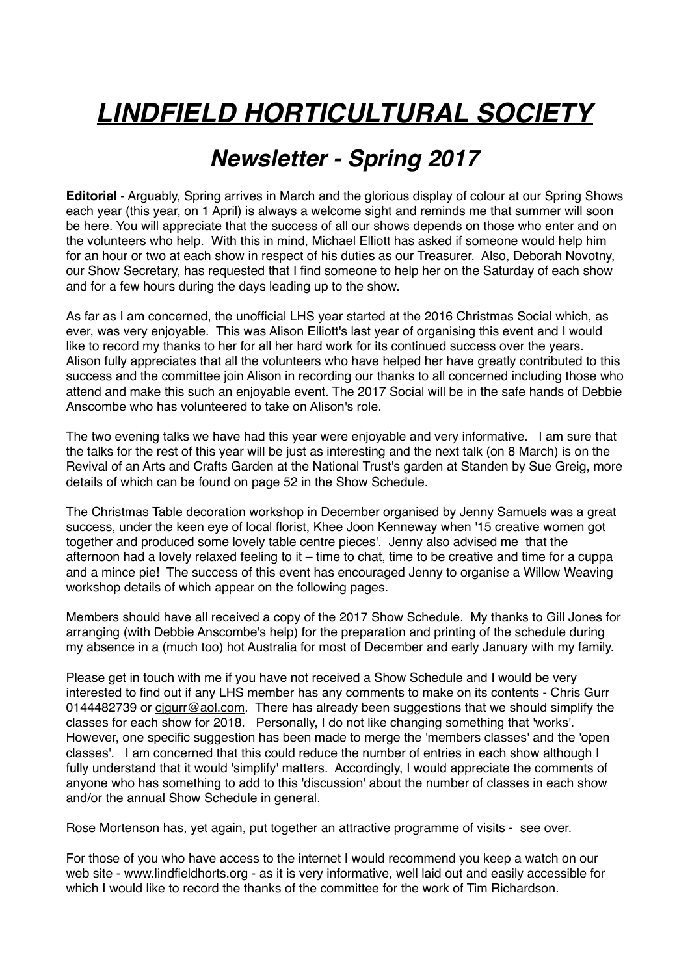# *LINDFIELD HORTICULTURAL SOCIETY*

# *Newsletter - Spring 2017*

**Editorial** - Arguably, Spring arrives in March and the glorious display of colour at our Spring Shows each year (this year, on 1 April) is always a welcome sight and reminds me that summer will soon be here. You will appreciate that the success of all our shows depends on those who enter and on the volunteers who help. With this in mind, Michael Elliott has asked if someone would help him for an hour or two at each show in respect of his duties as our Treasurer. Also, Deborah Novotny, our Show Secretary, has requested that I find someone to help her on the Saturday of each show and for a few hours during the days leading up to the show.

As far as I am concerned, the unofficial LHS year started at the 2016 Christmas Social which, as ever, was very enjoyable. This was Alison Elliott's last year of organising this event and I would like to record my thanks to her for all her hard work for its continued success over the years. Alison fully appreciates that all the volunteers who have helped her have greatly contributed to this success and the committee join Alison in recording our thanks to all concerned including those who attend and make this such an enjoyable event. The 2017 Social will be in the safe hands of Debbie Anscombe who has volunteered to take on Alison's role.

The two evening talks we have had this year were enjoyable and very informative. I am sure that the talks for the rest of this year will be just as interesting and the next talk (on 8 March) is on the Revival of an Arts and Crafts Garden at the National Trust's garden at Standen by Sue Greig, more details of which can be found on page 52 in the Show Schedule.

The Christmas Table decoration workshop in December organised by Jenny Samuels was a great success, under the keen eye of local florist, Khee Joon Kenneway when '15 creative women got together and produced some lovely table centre pieces'. Jenny also advised me that the afternoon had a lovely relaxed feeling to it – time to chat, time to be creative and time for a cuppa and a mince pie! The success of this event has encouraged Jenny to organise a Willow Weaving workshop details of which appear on the following pages.

Members should have all received a copy of the 2017 Show Schedule. My thanks to Gill Jones for arranging (with Debbie Anscombe's help) for the preparation and printing of the schedule during my absence in a (much too) hot Australia for most of December and early January with my family.

Please get in touch with me if you have not received a Show Schedule and I would be very interested to find out if any LHS member has any comments to make on its contents - Chris Gurr 0144482739 or cigurr@aol.com. There has already been suggestions that we should simplify the classes for each show for 2018. Personally, I do not like changing something that 'works'. However, one specific suggestion has been made to merge the 'members classes' and the 'open classes'. I am concerned that this could reduce the number of entries in each show although I fully understand that it would 'simplify' matters. Accordingly, I would appreciate the comments of anyone who has something to add to this 'discussion' about the number of classes in each show and/or the annual Show Schedule in general.

Rose Mortenson has, yet again, put together an attractive programme of visits - see over.

For those of you who have access to the internet I would recommend you keep a watch on our web site - [www.lindfieldhorts.org](http://www.lindfieldhorts.org) - as it is very informative, well laid out and easily accessible for which I would like to record the thanks of the committee for the work of Tim Richardson.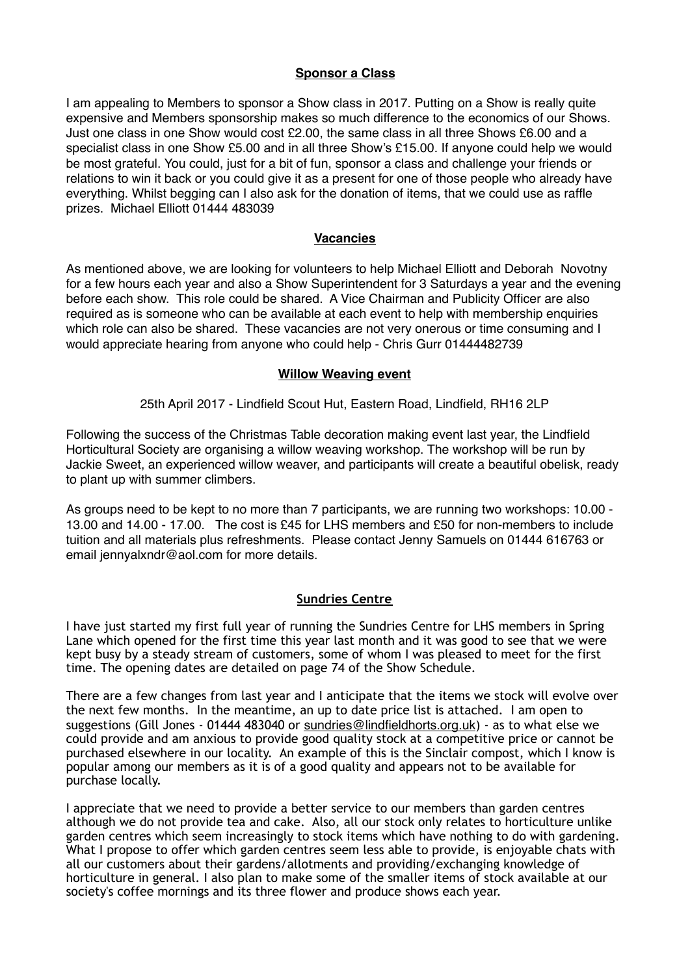#### **Sponsor a Class**

I am appealing to Members to sponsor a Show class in 2017. Putting on a Show is really quite expensive and Members sponsorship makes so much difference to the economics of our Shows. Just one class in one Show would cost £2.00, the same class in all three Shows £6.00 and a specialist class in one Show £5.00 and in all three Show's £15.00. If anyone could help we would be most grateful. You could, just for a bit of fun, sponsor a class and challenge your friends or relations to win it back or you could give it as a present for one of those people who already have everything. Whilst begging can I also ask for the donation of items, that we could use as raffle prizes. Michael Elliott 01444 483039

#### **Vacancies**

As mentioned above, we are looking for volunteers to help Michael Elliott and Deborah Novotny for a few hours each year and also a Show Superintendent for 3 Saturdays a year and the evening before each show. This role could be shared. A Vice Chairman and Publicity Officer are also required as is someone who can be available at each event to help with membership enquiries which role can also be shared. These vacancies are not very onerous or time consuming and I would appreciate hearing from anyone who could help - Chris Gurr 01444482739

#### **Willow Weaving event**

25th April 2017 - Lindfield Scout Hut, Eastern Road, Lindfield, RH16 2LP

Following the success of the Christmas Table decoration making event last year, the Lindfield Horticultural Society are organising a willow weaving workshop. The workshop will be run by Jackie Sweet, an experienced willow weaver, and participants will create a beautiful obelisk, ready to plant up with summer climbers.

As groups need to be kept to no more than 7 participants, we are running two workshops: 10.00 - 13.00 and 14.00 - 17.00. The cost is £45 for LHS members and £50 for non-members to include tuition and all materials plus refreshments. Please contact Jenny Samuels on 01444 616763 or email jennyalxndr@aol.com for more details.

#### **Sundries Centre**

I have just started my first full year of running the Sundries Centre for LHS members in Spring Lane which opened for the first time this year last month and it was good to see that we were kept busy by a steady stream of customers, some of whom I was pleased to meet for the first time. The opening dates are detailed on page 74 of the Show Schedule.

There are a few changes from last year and I anticipate that the items we stock will evolve over the next few months. In the meantime, an up to date price list is attached. I am open to suggestions (Gill Jones - 01444 483040 or [sundries@lindfieldhorts.org.uk](mailto:sundries@lindfieldhorts.org.uk)) - as to what else we could provide and am anxious to provide good quality stock at a competitive price or cannot be purchased elsewhere in our locality. An example of this is the Sinclair compost, which I know is popular among our members as it is of a good quality and appears not to be available for purchase locally.

I appreciate that we need to provide a better service to our members than garden centres although we do not provide tea and cake. Also, all our stock only relates to horticulture unlike garden centres which seem increasingly to stock items which have nothing to do with gardening. What I propose to offer which garden centres seem less able to provide, is enjoyable chats with all our customers about their gardens/allotments and providing/exchanging knowledge of horticulture in general. I also plan to make some of the smaller items of stock available at our society's coffee mornings and its three flower and produce shows each year.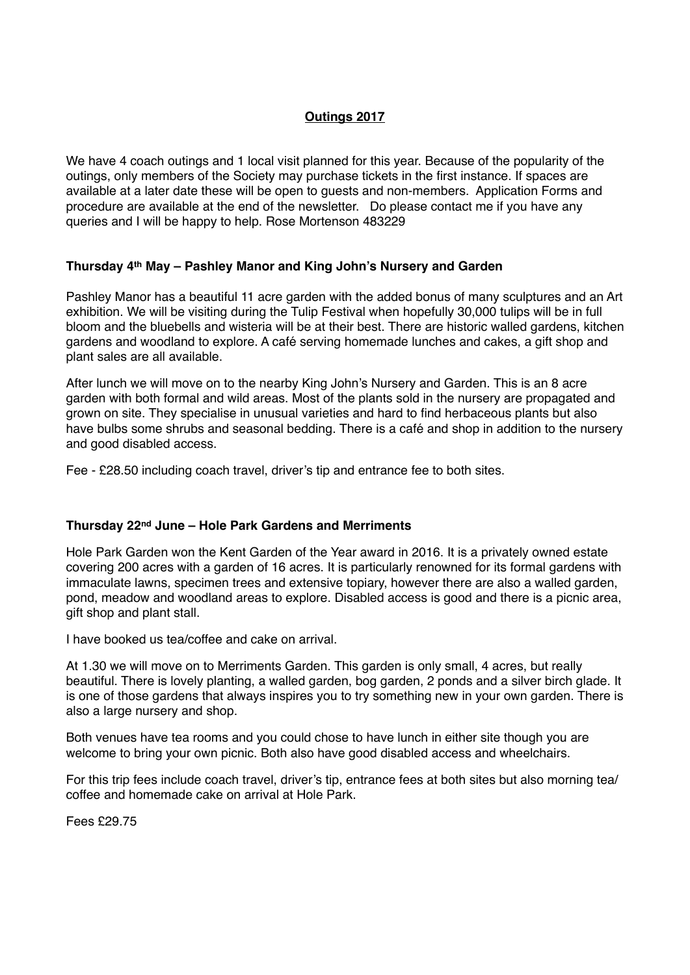# **Outings 2017**

We have 4 coach outings and 1 local visit planned for this year. Because of the popularity of the outings, only members of the Society may purchase tickets in the first instance. If spaces are available at a later date these will be open to guests and non-members. Application Forms and procedure are available at the end of the newsletter. Do please contact me if you have any queries and I will be happy to help. Rose Mortenson 483229

#### **Thursday 4th May – Pashley Manor and King John's Nursery and Garden**

Pashley Manor has a beautiful 11 acre garden with the added bonus of many sculptures and an Art exhibition. We will be visiting during the Tulip Festival when hopefully 30,000 tulips will be in full bloom and the bluebells and wisteria will be at their best. There are historic walled gardens, kitchen gardens and woodland to explore. A café serving homemade lunches and cakes, a gift shop and plant sales are all available.

After lunch we will move on to the nearby King John's Nursery and Garden. This is an 8 acre garden with both formal and wild areas. Most of the plants sold in the nursery are propagated and grown on site. They specialise in unusual varieties and hard to find herbaceous plants but also have bulbs some shrubs and seasonal bedding. There is a café and shop in addition to the nursery and good disabled access.

Fee - £28.50 including coach travel, driver's tip and entrance fee to both sites.

#### **Thursday 22nd June – Hole Park Gardens and Merriments**

Hole Park Garden won the Kent Garden of the Year award in 2016. It is a privately owned estate covering 200 acres with a garden of 16 acres. It is particularly renowned for its formal gardens with immaculate lawns, specimen trees and extensive topiary, however there are also a walled garden, pond, meadow and woodland areas to explore. Disabled access is good and there is a picnic area, gift shop and plant stall.

I have booked us tea/coffee and cake on arrival.

At 1.30 we will move on to Merriments Garden. This garden is only small, 4 acres, but really beautiful. There is lovely planting, a walled garden, bog garden, 2 ponds and a silver birch glade. It is one of those gardens that always inspires you to try something new in your own garden. There is also a large nursery and shop.

Both venues have tea rooms and you could chose to have lunch in either site though you are welcome to bring your own picnic. Both also have good disabled access and wheelchairs.

For this trip fees include coach travel, driver's tip, entrance fees at both sites but also morning tea/ coffee and homemade cake on arrival at Hole Park.

Fees £29.75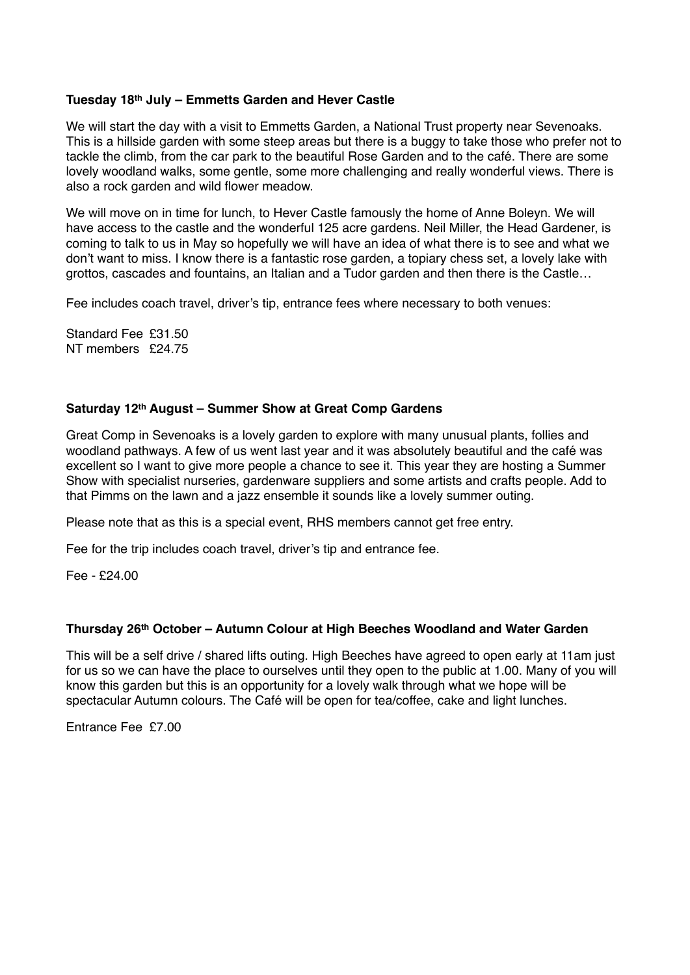#### **Tuesday 18th July – Emmetts Garden and Hever Castle**

We will start the day with a visit to Emmetts Garden, a National Trust property near Sevenoaks. This is a hillside garden with some steep areas but there is a buggy to take those who prefer not to tackle the climb, from the car park to the beautiful Rose Garden and to the café. There are some lovely woodland walks, some gentle, some more challenging and really wonderful views. There is also a rock garden and wild flower meadow.

We will move on in time for lunch, to Hever Castle famously the home of Anne Boleyn. We will have access to the castle and the wonderful 125 acre gardens. Neil Miller, the Head Gardener, is coming to talk to us in May so hopefully we will have an idea of what there is to see and what we don't want to miss. I know there is a fantastic rose garden, a topiary chess set, a lovely lake with grottos, cascades and fountains, an Italian and a Tudor garden and then there is the Castle…

Fee includes coach travel, driver's tip, entrance fees where necessary to both venues:

Standard Fee £31.50 NT members £24.75

#### **Saturday 12th August – Summer Show at Great Comp Gardens**

Great Comp in Sevenoaks is a lovely garden to explore with many unusual plants, follies and woodland pathways. A few of us went last year and it was absolutely beautiful and the café was excellent so I want to give more people a chance to see it. This year they are hosting a Summer Show with specialist nurseries, gardenware suppliers and some artists and crafts people. Add to that Pimms on the lawn and a jazz ensemble it sounds like a lovely summer outing.

Please note that as this is a special event, RHS members cannot get free entry.

Fee for the trip includes coach travel, driver's tip and entrance fee.

Fee - £24.00

#### **Thursday 26th October – Autumn Colour at High Beeches Woodland and Water Garden**

This will be a self drive / shared lifts outing. High Beeches have agreed to open early at 11am just for us so we can have the place to ourselves until they open to the public at 1.00. Many of you will know this garden but this is an opportunity for a lovely walk through what we hope will be spectacular Autumn colours. The Café will be open for tea/coffee, cake and light lunches.

Entrance Fee £7.00